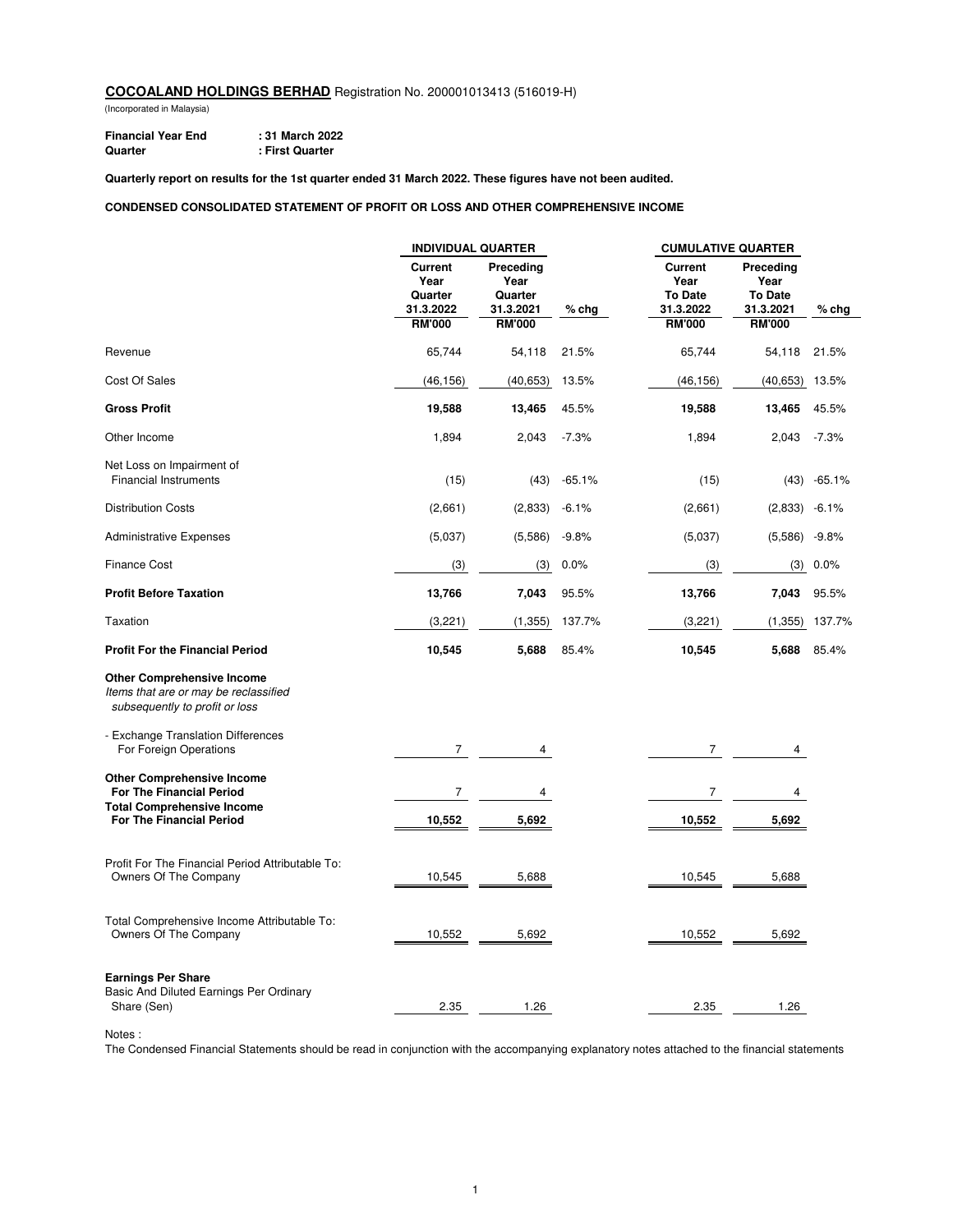(Incorporated in Malaysia)

**Financial Year End** : 31 March 2022<br>
Quarter : First Quarter **Quarter : First Quarter**

**Quarterly report on results for the 1st quarter ended 31 March 2022. These figures have not been audited.**

#### **CONDENSED CONSOLIDATED STATEMENT OF PROFIT OR LOSS AND OTHER COMPREHENSIVE INCOME**

|                                                                                                              | <b>INDIVIDUAL QUARTER</b>                      |                                           |          | <b>CUMULATIVE QUARTER</b>                             |                                                  |          |
|--------------------------------------------------------------------------------------------------------------|------------------------------------------------|-------------------------------------------|----------|-------------------------------------------------------|--------------------------------------------------|----------|
|                                                                                                              | <b>Current</b><br>Year<br>Quarter<br>31.3.2022 | Preceding<br>Year<br>Quarter<br>31.3.2021 | $%$ chg  | <b>Current</b><br>Year<br><b>To Date</b><br>31.3.2022 | Preceding<br>Year<br><b>To Date</b><br>31.3.2021 | $%$ chg  |
|                                                                                                              | <b>RM'000</b>                                  | <b>RM'000</b>                             |          | <b>RM'000</b>                                         | <b>RM'000</b>                                    |          |
| Revenue                                                                                                      | 65,744                                         | 54,118                                    | 21.5%    | 65,744                                                | 54,118                                           | 21.5%    |
| Cost Of Sales                                                                                                | (46, 156)                                      | (40, 653)                                 | 13.5%    | (46, 156)                                             | (40, 653)                                        | 13.5%    |
| <b>Gross Profit</b>                                                                                          | 19,588                                         | 13,465                                    | 45.5%    | 19,588                                                | 13,465                                           | 45.5%    |
| Other Income                                                                                                 | 1,894                                          | 2,043                                     | $-7.3%$  | 1,894                                                 | 2,043                                            | $-7.3%$  |
| Net Loss on Impairment of<br><b>Financial Instruments</b>                                                    | (15)                                           | (43)                                      | $-65.1%$ | (15)                                                  | (43)                                             | $-65.1%$ |
| <b>Distribution Costs</b>                                                                                    | (2,661)                                        | (2,833)                                   | $-6.1%$  | (2,661)                                               | (2,833)                                          | $-6.1%$  |
| <b>Administrative Expenses</b>                                                                               | (5,037)                                        | (5,586)                                   | $-9.8%$  | (5,037)                                               | (5,586)                                          | $-9.8%$  |
| <b>Finance Cost</b>                                                                                          | (3)                                            | (3)                                       | 0.0%     | (3)                                                   | (3)                                              | 0.0%     |
| <b>Profit Before Taxation</b>                                                                                | 13,766                                         | 7,043                                     | 95.5%    | 13,766                                                | 7,043                                            | 95.5%    |
| Taxation                                                                                                     | (3,221)                                        | (1, 355)                                  | 137.7%   | (3,221)                                               | (1, 355)                                         | 137.7%   |
| <b>Profit For the Financial Period</b>                                                                       | 10,545                                         | 5,688                                     | 85.4%    | 10,545                                                | 5,688                                            | 85.4%    |
| <b>Other Comprehensive Income</b><br>Items that are or may be reclassified<br>subsequently to profit or loss |                                                |                                           |          |                                                       |                                                  |          |
| - Exchange Translation Differences<br>For Foreign Operations                                                 | 7                                              | 4                                         |          | 7                                                     | 4                                                |          |
| <b>Other Comprehensive Income</b><br><b>For The Financial Period</b>                                         | 7                                              | 4                                         |          | $\overline{7}$                                        | 4                                                |          |
| <b>Total Comprehensive Income</b><br>For The Financial Period                                                | 10,552                                         | 5,692                                     |          | 10,552                                                | 5,692                                            |          |
| Profit For The Financial Period Attributable To:<br>Owners Of The Company                                    | 10,545                                         | 5,688                                     |          | 10,545                                                | 5,688                                            |          |
| Total Comprehensive Income Attributable To:<br>Owners Of The Company                                         | 10,552                                         | 5,692                                     |          | 10,552                                                | 5,692                                            |          |
| <b>Earnings Per Share</b><br>Basic And Diluted Earnings Per Ordinary<br>Share (Sen)                          | 2.35                                           | 1.26                                      |          | 2.35                                                  | 1.26                                             |          |

Notes :

The Condensed Financial Statements should be read in conjunction with the accompanying explanatory notes attached to the financial statements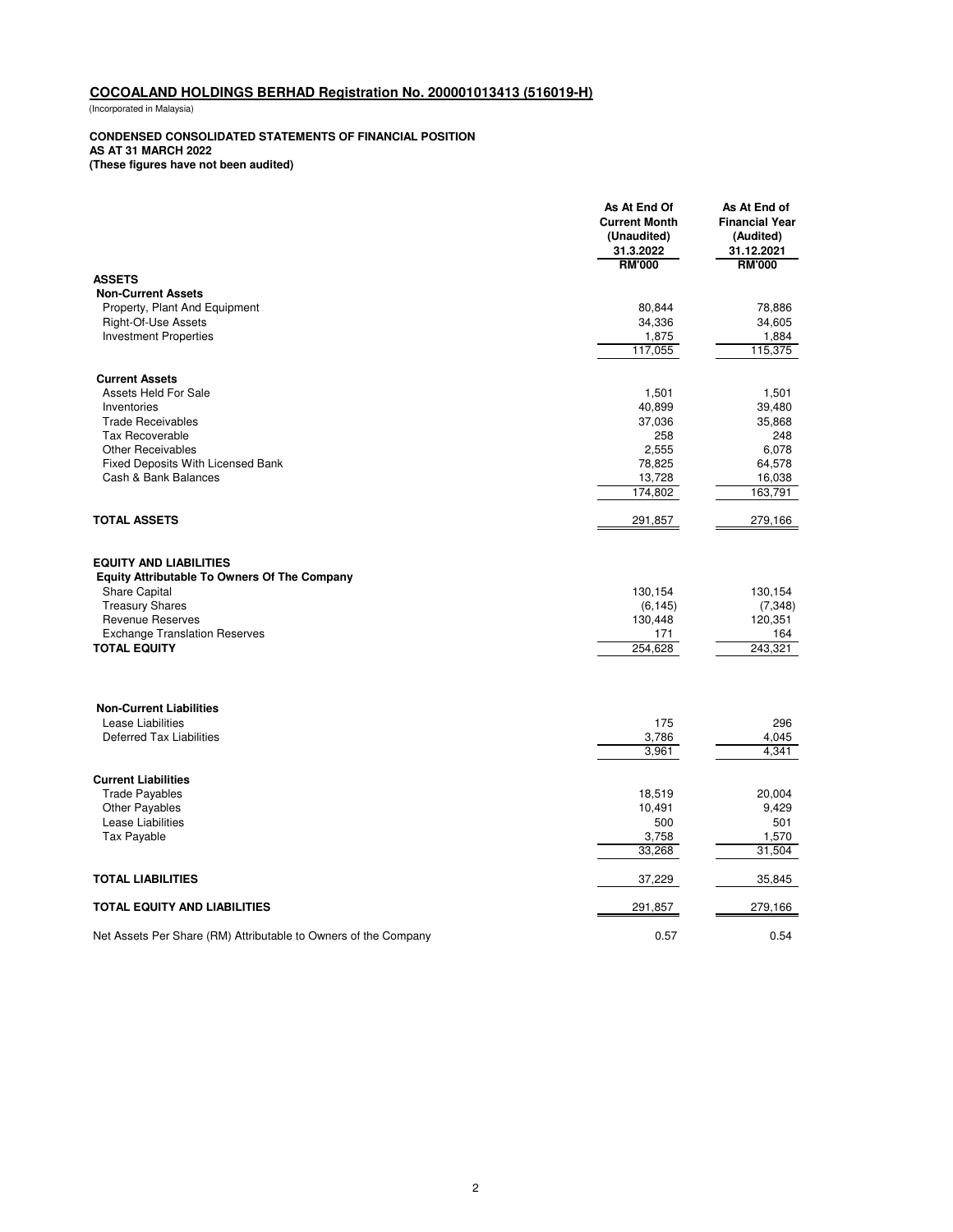(Incorporated in Malaysia)

#### **CONDENSED CONSOLIDATED STATEMENTS OF FINANCIAL POSITION**

**AS AT 31 MARCH 2022**

**(These figures have not been audited)**

|                                                                                      | As At End Of<br><b>Current Month</b><br>(Unaudited)<br>31.3.2022 | As At End of<br><b>Financial Year</b><br>(Audited)<br>31.12.2021 |
|--------------------------------------------------------------------------------------|------------------------------------------------------------------|------------------------------------------------------------------|
| <b>ASSETS</b>                                                                        | <b>RM'000</b>                                                    | <b>RM'000</b>                                                    |
| <b>Non-Current Assets</b>                                                            |                                                                  |                                                                  |
| Property, Plant And Equipment                                                        | 80,844                                                           | 78,886                                                           |
| Right-Of-Use Assets                                                                  | 34,336                                                           | 34,605                                                           |
| <b>Investment Properties</b>                                                         | 1,875                                                            | 1,884                                                            |
|                                                                                      | 117,055                                                          | 115,375                                                          |
| <b>Current Assets</b>                                                                |                                                                  |                                                                  |
| Assets Held For Sale                                                                 | 1,501                                                            | 1,501                                                            |
| Inventories                                                                          | 40,899                                                           | 39,480                                                           |
| <b>Trade Receivables</b>                                                             | 37,036                                                           | 35,868                                                           |
| <b>Tax Recoverable</b>                                                               | 258                                                              | 248                                                              |
| <b>Other Receivables</b>                                                             | 2,555                                                            | 6,078                                                            |
| <b>Fixed Deposits With Licensed Bank</b>                                             | 78,825                                                           | 64,578                                                           |
| Cash & Bank Balances                                                                 | 13,728                                                           | 16,038                                                           |
|                                                                                      | 174,802                                                          | 163,791                                                          |
| <b>TOTAL ASSETS</b>                                                                  | 291,857                                                          | 279,166                                                          |
| <b>EQUITY AND LIABILITIES</b><br><b>Equity Attributable To Owners Of The Company</b> |                                                                  |                                                                  |
| <b>Share Capital</b>                                                                 | 130,154                                                          | 130,154                                                          |
| <b>Treasury Shares</b>                                                               | (6, 145)                                                         | (7, 348)                                                         |
| <b>Revenue Reserves</b>                                                              | 130,448                                                          | 120,351                                                          |
| <b>Exchange Translation Reserves</b>                                                 | 171                                                              | 164                                                              |
| <b>TOTAL EQUITY</b>                                                                  | 254.628                                                          | 243.321                                                          |
|                                                                                      |                                                                  |                                                                  |
| <b>Non-Current Liabilities</b><br>Lease Liabilities                                  | 175                                                              | 296                                                              |
| <b>Deferred Tax Liabilities</b>                                                      | 3,786                                                            | 4,045                                                            |
|                                                                                      | 3,961                                                            | 4.341                                                            |
|                                                                                      |                                                                  |                                                                  |
| <b>Current Liabilities</b>                                                           |                                                                  |                                                                  |
| <b>Trade Payables</b>                                                                | 18,519                                                           | 20,004                                                           |
| Other Payables                                                                       | 10,491                                                           | 9,429                                                            |
| Lease Liabilities                                                                    | 500                                                              | 501                                                              |
| Tax Payable                                                                          | 3,758<br>33,268                                                  | 1,570<br>31,504                                                  |
| <b>TOTAL LIABILITIES</b>                                                             | 37,229                                                           | 35,845                                                           |
| TOTAL EQUITY AND LIABILITIES                                                         | 291,857                                                          | 279,166                                                          |
| Net Assets Per Share (RM) Attributable to Owners of the Company                      | 0.57                                                             | 0.54                                                             |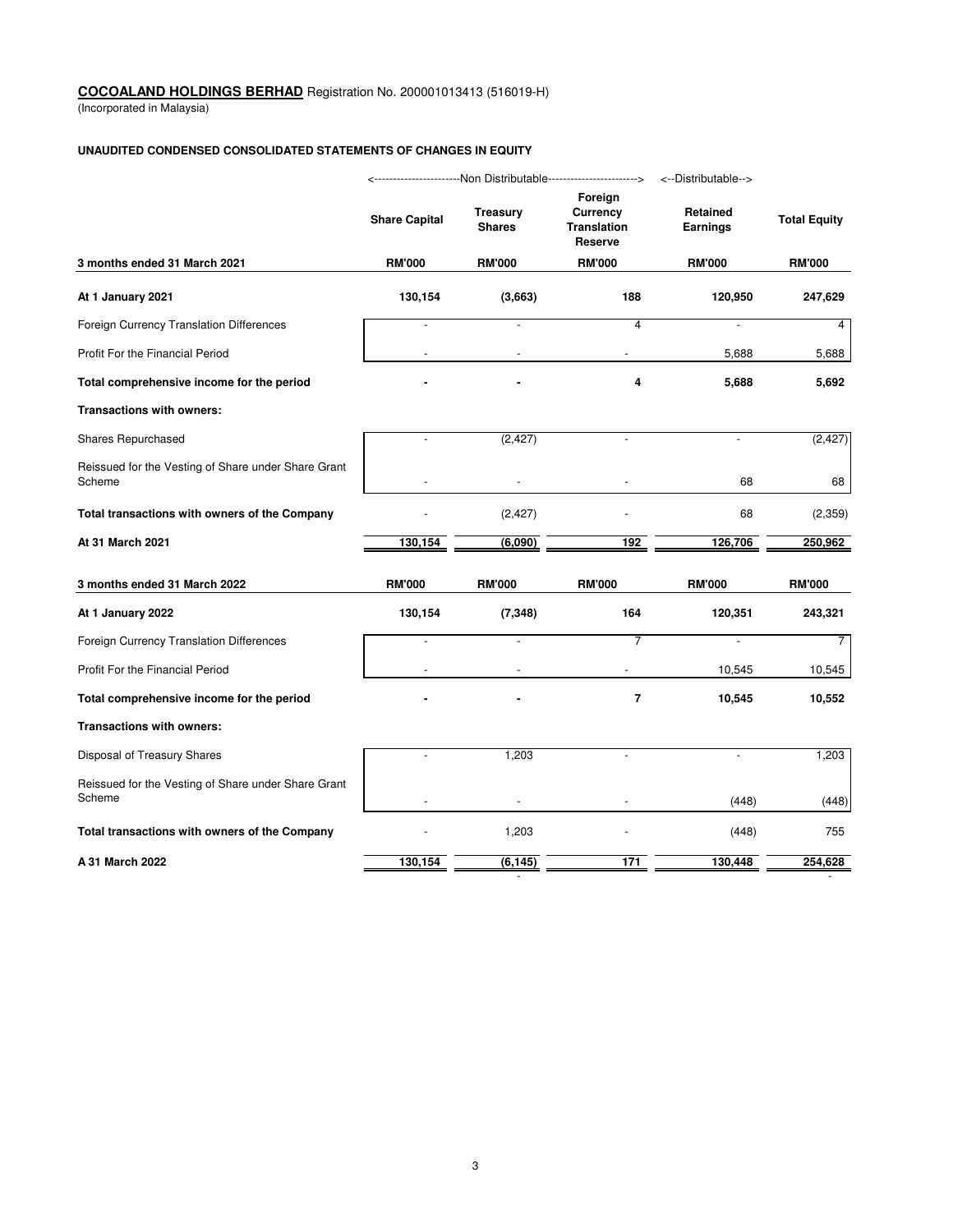(Incorporated in Malaysia)

### **UNAUDITED CONDENSED CONSOLIDATED STATEMENTS OF CHANGES IN EQUITY**

|                                                               | ------------------Non Distributable-----------------------><br><--Distributable--> |                                  |                                                             |                      |                     |  |
|---------------------------------------------------------------|------------------------------------------------------------------------------------|----------------------------------|-------------------------------------------------------------|----------------------|---------------------|--|
|                                                               | <b>Share Capital</b>                                                               | <b>Treasury</b><br><b>Shares</b> | Foreign<br>Currency<br><b>Translation</b><br><b>Reserve</b> | Retained<br>Earnings | <b>Total Equity</b> |  |
| 3 months ended 31 March 2021                                  | <b>RM'000</b>                                                                      | <b>RM'000</b>                    | <b>RM'000</b>                                               | <b>RM'000</b>        | <b>RM'000</b>       |  |
| At 1 January 2021                                             | 130,154                                                                            | (3,663)                          | 188                                                         | 120,950              | 247,629             |  |
| Foreign Currency Translation Differences                      |                                                                                    | ÷,                               | 4                                                           | ÷,                   | 4                   |  |
| Profit For the Financial Period                               |                                                                                    |                                  |                                                             | 5,688                | 5,688               |  |
| Total comprehensive income for the period                     |                                                                                    |                                  | 4                                                           | 5,688                | 5,692               |  |
| <b>Transactions with owners:</b>                              |                                                                                    |                                  |                                                             |                      |                     |  |
| Shares Repurchased                                            | $\overline{\phantom{a}}$                                                           | (2, 427)                         | ÷.                                                          | $\blacksquare$       | (2, 427)            |  |
| Reissued for the Vesting of Share under Share Grant<br>Scheme |                                                                                    |                                  |                                                             | 68                   | 68                  |  |
| Total transactions with owners of the Company                 |                                                                                    | (2, 427)                         |                                                             | 68                   | (2,359)             |  |
| At 31 March 2021                                              | 130,154                                                                            | (6,090)                          | 192                                                         | 126,706              | 250,962             |  |
| 3 months ended 31 March 2022                                  | <b>RM'000</b>                                                                      | <b>RM'000</b>                    | <b>RM'000</b>                                               | <b>RM'000</b>        | <b>RM'000</b>       |  |
| At 1 January 2022                                             | 130,154                                                                            | (7, 348)                         | 164                                                         | 120,351              | 243,321             |  |
| Foreign Currency Translation Differences                      |                                                                                    | ÷,                               | 7                                                           | ÷,                   | $\overline{7}$      |  |
| Profit For the Financial Period                               |                                                                                    |                                  |                                                             | 10,545               | 10,545              |  |
| Total comprehensive income for the period                     |                                                                                    |                                  | $\overline{\mathbf{r}}$                                     | 10,545               | 10,552              |  |
| Transactions with owners:                                     |                                                                                    |                                  |                                                             |                      |                     |  |
| Disposal of Treasury Shares                                   | $\overline{a}$                                                                     | 1,203                            | ÷.                                                          | $\overline{a}$       | 1,203               |  |
| Reissued for the Vesting of Share under Share Grant<br>Scheme |                                                                                    |                                  |                                                             | (448)                | (448)               |  |
| Total transactions with owners of the Company                 |                                                                                    | 1,203                            |                                                             | (448)                | 755                 |  |
| A 31 March 2022                                               | 130,154                                                                            | (6, 145)                         | 171                                                         | 130,448              | 254,628             |  |

and the second control of the second control of the second control of the second control of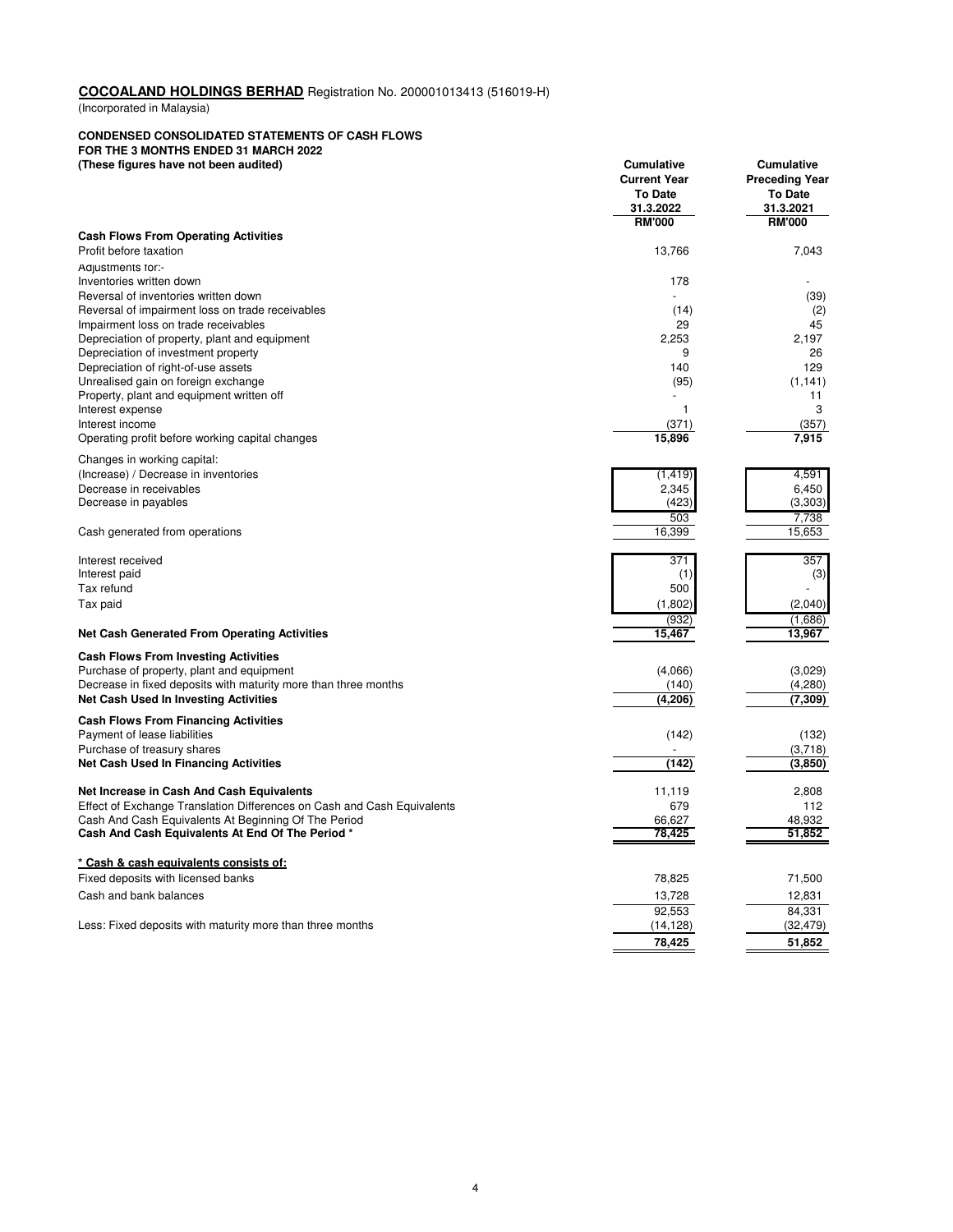(Incorporated in Malaysia)

#### **CONDENSED CONSOLIDATED STATEMENTS OF CASH FLOWS**

**FOR THE 3 MONTHS ENDED 31 MARCH 2022**

| (These figures have not been audited)                                                | Cumulative<br><b>Current Year</b><br><b>To Date</b> | Cumulative<br><b>Preceding Year</b><br><b>To Date</b> |
|--------------------------------------------------------------------------------------|-----------------------------------------------------|-------------------------------------------------------|
|                                                                                      | 31.3.2022                                           | 31.3.2021                                             |
| <b>Cash Flows From Operating Activities</b>                                          | <b>RM'000</b>                                       | <b>RM'000</b>                                         |
| Profit before taxation                                                               | 13,766                                              | 7,043                                                 |
| Adjustments for:-                                                                    |                                                     |                                                       |
| Inventories written down                                                             | 178                                                 |                                                       |
| Reversal of inventories written down                                                 |                                                     | (39)                                                  |
| Reversal of impairment loss on trade receivables                                     | (14)                                                | (2)                                                   |
| Impairment loss on trade receivables                                                 | 29<br>2,253                                         | 45                                                    |
| Depreciation of property, plant and equipment<br>Depreciation of investment property | 9                                                   | 2,197<br>26                                           |
| Depreciation of right-of-use assets                                                  | 140                                                 | 129                                                   |
| Unrealised gain on foreign exchange                                                  | (95)                                                | (1, 141)                                              |
| Property, plant and equipment written off                                            |                                                     | 11                                                    |
| Interest expense                                                                     | 1                                                   | 3                                                     |
| Interest income                                                                      | (371)                                               | (357)                                                 |
| Operating profit before working capital changes                                      | 15,896                                              | 7,915                                                 |
| Changes in working capital:                                                          |                                                     |                                                       |
| (Increase) / Decrease in inventories                                                 | (1, 419)                                            | 4.591                                                 |
| Decrease in receivables                                                              | 2,345                                               | 6,450                                                 |
| Decrease in payables                                                                 | (423)<br>503                                        | (3,303)                                               |
| Cash generated from operations                                                       | 16,399                                              | 7,738<br>15,653                                       |
|                                                                                      |                                                     |                                                       |
| Interest received                                                                    | 371                                                 | 357                                                   |
| Interest paid                                                                        | (1)                                                 | (3)                                                   |
| Tax refund                                                                           | 500                                                 |                                                       |
| Tax paid                                                                             | (1,802)                                             | (2,040)                                               |
|                                                                                      | (932)                                               | (1,686)                                               |
| <b>Net Cash Generated From Operating Activities</b>                                  | 15,467                                              | 13,967                                                |
| <b>Cash Flows From Investing Activities</b>                                          |                                                     |                                                       |
| Purchase of property, plant and equipment                                            | (4,066)                                             | (3,029)                                               |
| Decrease in fixed deposits with maturity more than three months                      | (140)                                               | (4,280)                                               |
| <b>Net Cash Used In Investing Activities</b>                                         | (4,206)                                             | (7,309)                                               |
| <b>Cash Flows From Financing Activities</b>                                          |                                                     |                                                       |
| Payment of lease liabilities                                                         | (142)                                               | (132)                                                 |
| Purchase of treasury shares<br><b>Net Cash Used In Financing Activities</b>          | (142)                                               | (3,718)<br>(3,850)                                    |
|                                                                                      |                                                     |                                                       |
| Net Increase in Cash And Cash Equivalents                                            | 11,119                                              | 2,808                                                 |
| Effect of Exchange Translation Differences on Cash and Cash Equivalents              | 679                                                 | 112                                                   |
| Cash And Cash Equivalents At Beginning Of The Period                                 | 66,627                                              | 48,932                                                |
| Cash And Cash Equivalents At End Of The Period *                                     | 78,425                                              | 51,852                                                |
| * Cash & cash equivalents consists of:                                               |                                                     |                                                       |
| Fixed deposits with licensed banks                                                   | 78,825                                              | 71,500                                                |
| Cash and bank balances                                                               | 13,728                                              | 12,831                                                |
|                                                                                      | 92,553                                              | 84,331                                                |
| Less: Fixed deposits with maturity more than three months                            | (14, 128)                                           | (32, 479)                                             |
|                                                                                      | 78,425                                              | 51,852                                                |
|                                                                                      |                                                     |                                                       |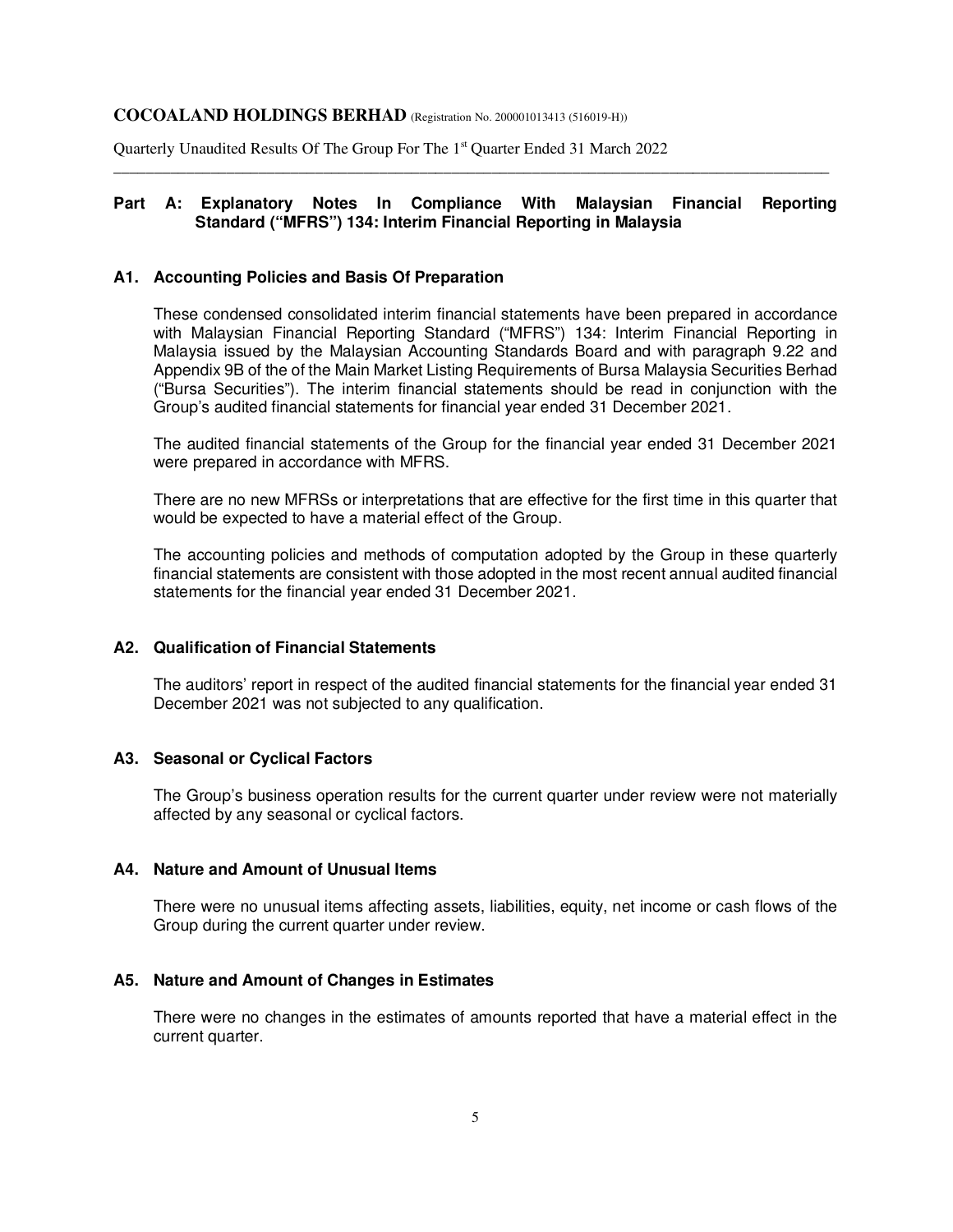Quarterly Unaudited Results Of The Group For The 1<sup>st</sup> Quarter Ended 31 March 2022

### **Part A: Explanatory Notes In Compliance With Malaysian Financial Reporting Standard ("MFRS") 134: Interim Financial Reporting in Malaysia**

\_\_\_\_\_\_\_\_\_\_\_\_\_\_\_\_\_\_\_\_\_\_\_\_\_\_\_\_\_\_\_\_\_\_\_\_\_\_\_\_\_\_\_\_\_\_\_\_\_\_\_\_\_\_\_\_\_\_\_\_\_\_\_\_\_\_\_\_\_\_\_\_\_\_\_\_\_\_\_\_\_\_\_\_\_\_\_\_\_

#### **A1. Accounting Policies and Basis Of Preparation**

These condensed consolidated interim financial statements have been prepared in accordance with Malaysian Financial Reporting Standard ("MFRS") 134: Interim Financial Reporting in Malaysia issued by the Malaysian Accounting Standards Board and with paragraph 9.22 and Appendix 9B of the of the Main Market Listing Requirements of Bursa Malaysia Securities Berhad ("Bursa Securities"). The interim financial statements should be read in conjunction with the Group's audited financial statements for financial year ended 31 December 2021.

 The audited financial statements of the Group for the financial year ended 31 December 2021 were prepared in accordance with MFRS.

 There are no new MFRSs or interpretations that are effective for the first time in this quarter that would be expected to have a material effect of the Group.

 The accounting policies and methods of computation adopted by the Group in these quarterly financial statements are consistent with those adopted in the most recent annual audited financial statements for the financial year ended 31 December 2021.

### **A2. Qualification of Financial Statements**

The auditors' report in respect of the audited financial statements for the financial year ended 31 December 2021 was not subjected to any qualification.

#### **A3. Seasonal or Cyclical Factors**

The Group's business operation results for the current quarter under review were not materially affected by any seasonal or cyclical factors.

#### **A4. Nature and Amount of Unusual Items**

There were no unusual items affecting assets, liabilities, equity, net income or cash flows of the Group during the current quarter under review.

#### **A5. Nature and Amount of Changes in Estimates**

There were no changes in the estimates of amounts reported that have a material effect in the current quarter.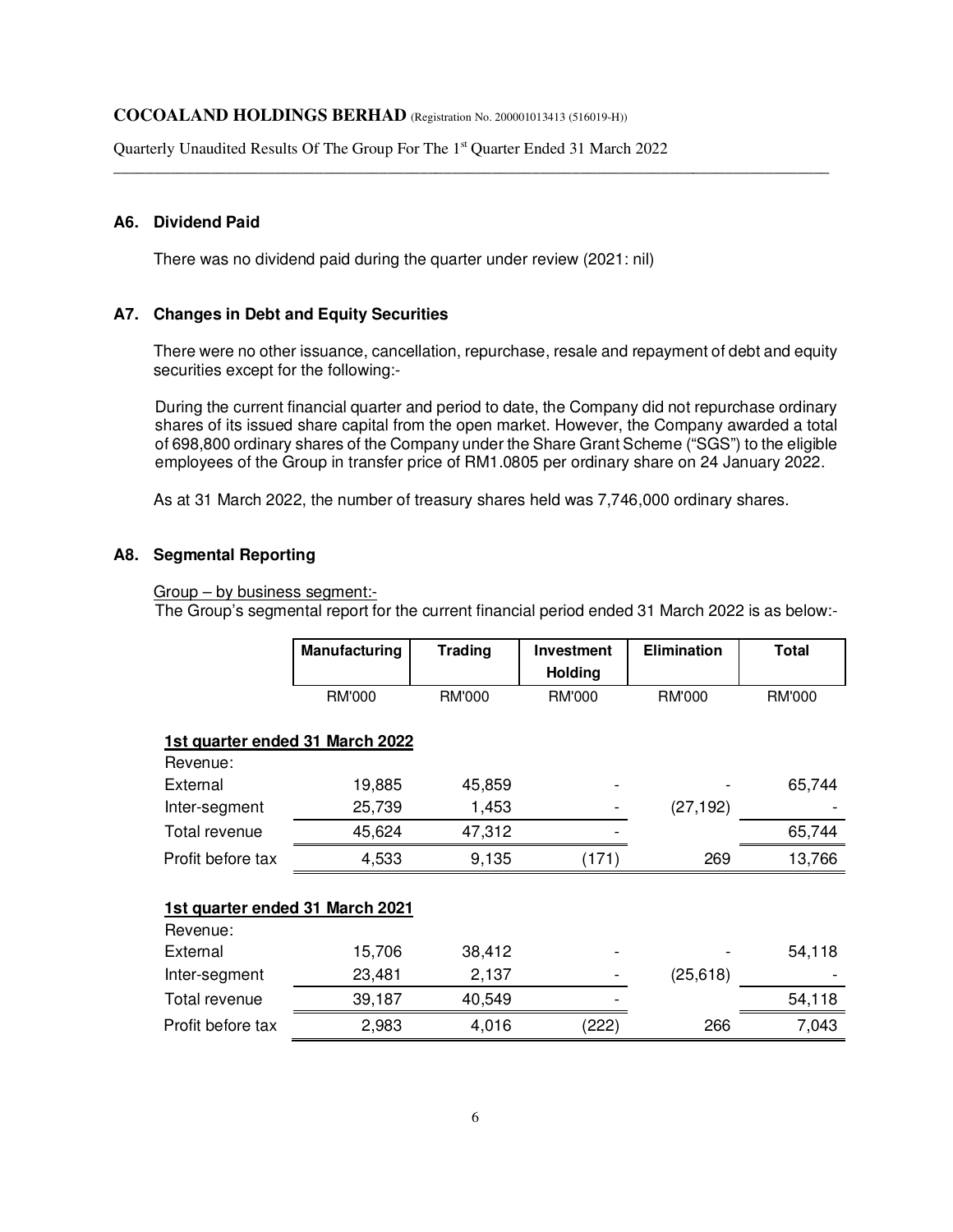Quarterly Unaudited Results Of The Group For The 1<sup>st</sup> Quarter Ended 31 March 2022

## **A6. Dividend Paid**

There was no dividend paid during the quarter under review (2021: nil)

### **A7. Changes in Debt and Equity Securities**

There were no other issuance, cancellation, repurchase, resale and repayment of debt and equity securities except for the following:-

\_\_\_\_\_\_\_\_\_\_\_\_\_\_\_\_\_\_\_\_\_\_\_\_\_\_\_\_\_\_\_\_\_\_\_\_\_\_\_\_\_\_\_\_\_\_\_\_\_\_\_\_\_\_\_\_\_\_\_\_\_\_\_\_\_\_\_\_\_\_\_\_\_\_\_\_\_\_\_\_\_\_\_\_\_\_\_\_\_

During the current financial quarter and period to date, the Company did not repurchase ordinary shares of its issued share capital from the open market. However, the Company awarded a total of 698,800 ordinary shares of the Company under the Share Grant Scheme ("SGS") to the eligible employees of the Group in transfer price of RM1.0805 per ordinary share on 24 January 2022.

As at 31 March 2022, the number of treasury shares held was 7,746,000 ordinary shares.

## **A8. Segmental Reporting**

#### Group – by business segment:-

The Group's segmental report for the current financial period ended 31 March 2022 is as below:-

|                                 | Manufacturing                   | <b>Trading</b> | <b>Investment</b> | <b>Elimination</b> | <b>Total</b>  |
|---------------------------------|---------------------------------|----------------|-------------------|--------------------|---------------|
|                                 |                                 |                | <b>Holding</b>    |                    |               |
|                                 | <b>RM'000</b>                   | <b>RM'000</b>  | <b>RM'000</b>     | <b>RM'000</b>      | <b>RM'000</b> |
|                                 | 1st quarter ended 31 March 2022 |                |                   |                    |               |
| Revenue:                        |                                 |                |                   |                    |               |
| External                        | 19,885                          | 45,859         |                   |                    | 65,744        |
| Inter-segment                   | 25,739                          | 1,453          |                   | (27, 192)          |               |
| Total revenue                   | 45,624                          | 47,312         |                   |                    | 65,744        |
| Profit before tax               | 4,533                           | 9,135          | (171)             | 269                | 13,766        |
| 1st quarter ended 31 March 2021 |                                 |                |                   |                    |               |
| Revenue:                        |                                 |                |                   |                    |               |
| External                        | 15,706                          | 38,412         |                   |                    | 54,118        |
| Inter-segment                   | 23,481                          | 2,137          |                   | (25, 618)          |               |
| Total revenue                   | 39,187                          | 40,549         |                   |                    | 54,118        |
| Profit before tax               | 2,983                           | 4,016          | (222)             | 266                | 7,043         |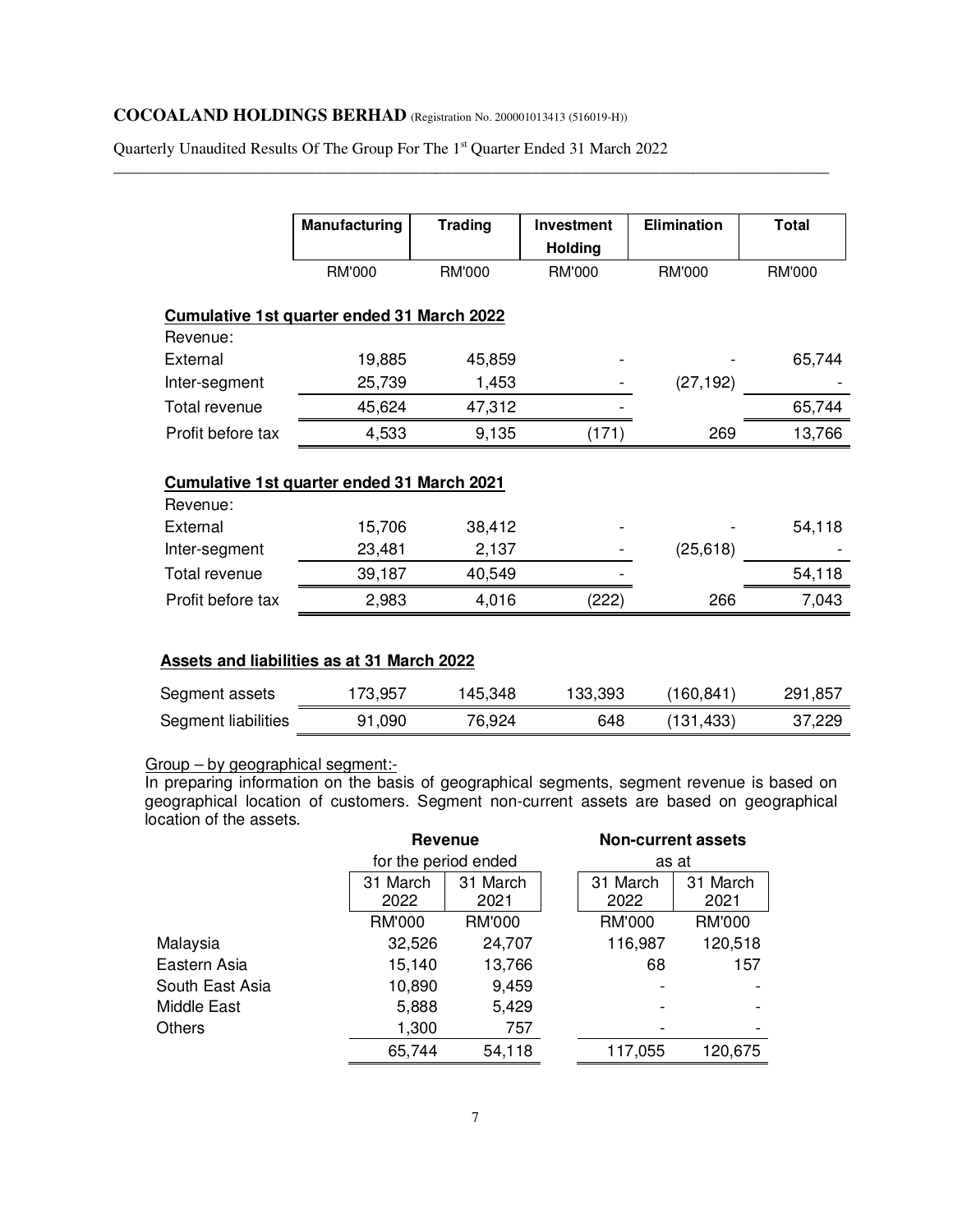Quarterly Unaudited Results Of The Group For The 1st Quarter Ended 31 March 2022

\_\_\_\_\_\_\_\_\_\_\_\_\_\_\_\_\_\_\_\_\_\_\_\_\_\_\_\_\_\_\_\_\_\_\_\_\_\_\_\_\_\_\_\_\_\_\_\_\_\_\_\_\_\_\_\_\_\_\_\_\_\_\_\_\_\_\_\_\_\_\_\_\_\_\_\_\_\_\_\_\_\_\_\_\_\_\_\_\_

|                                                        | <b>Manufacturing</b> | <b>Trading</b>  | Investment<br><b>Holding</b> | <b>Elimination</b> | <b>Total</b>  |
|--------------------------------------------------------|----------------------|-----------------|------------------------------|--------------------|---------------|
|                                                        | RM'000               | <b>RM'000</b>   | <b>RM'000</b>                | <b>RM'000</b>      | <b>RM'000</b> |
| Cumulative 1st quarter ended 31 March 2022             |                      |                 |                              |                    |               |
| Revenue:                                               |                      |                 |                              |                    |               |
| External                                               | 19,885               | 45,859          |                              |                    | 65,744        |
| Inter-segment                                          | 25,739               | 1,453           |                              | (27, 192)          |               |
| Total revenue                                          | 45,624               | 47,312          |                              |                    | 65,744        |
| Profit before tax                                      | 4,533                | 9,135           | (171)                        | 269                | 13,766        |
| Cumulative 1st quarter ended 31 March 2021<br>Revenue: |                      |                 |                              |                    |               |
|                                                        |                      |                 |                              |                    |               |
| External<br>Inter-segment                              | 15,706<br>23,481     | 38,412<br>2,137 |                              | (25, 618)          | 54,118        |
| Total revenue                                          | 39,187               | 40,549          |                              |                    | 54,118        |
| Profit before tax                                      | 2,983                | 4,016           | (222)                        | 266                | 7,043         |
|                                                        |                      |                 |                              |                    |               |
| <b>Assets and liabilities as at 31 March 2022</b>      |                      |                 |                              |                    |               |
| Segment assets                                         | 173,957              | 145,348         | 133,393                      | (160, 841)         | 291,857       |
|                                                        |                      |                 |                              |                    |               |

## Group – by geographical segment:-

In preparing information on the basis of geographical segments, segment revenue is based on geographical location of customers. Segment non-current assets are based on geographical location of the assets.

|                 | <b>Revenue</b>   |                      | <b>Non-current assets</b> |                  |
|-----------------|------------------|----------------------|---------------------------|------------------|
|                 |                  | for the period ended | as at                     |                  |
|                 | 31 March<br>2022 | 31 March<br>2021     | 31 March<br>2022          | 31 March<br>2021 |
|                 | <b>RM'000</b>    | <b>RM'000</b>        | <b>RM'000</b>             | <b>RM'000</b>    |
| Malaysia        | 32,526           | 24,707               | 116,987                   | 120,518          |
| Eastern Asia    | 15,140           | 13,766               | 68                        | 157              |
| South East Asia | 10,890           | 9,459                |                           |                  |
| Middle East     | 5,888            | 5,429                |                           |                  |
| <b>Others</b>   | 1,300            | 757                  |                           |                  |
|                 | 65,744           | 54,118               | 117,055                   | 120,675          |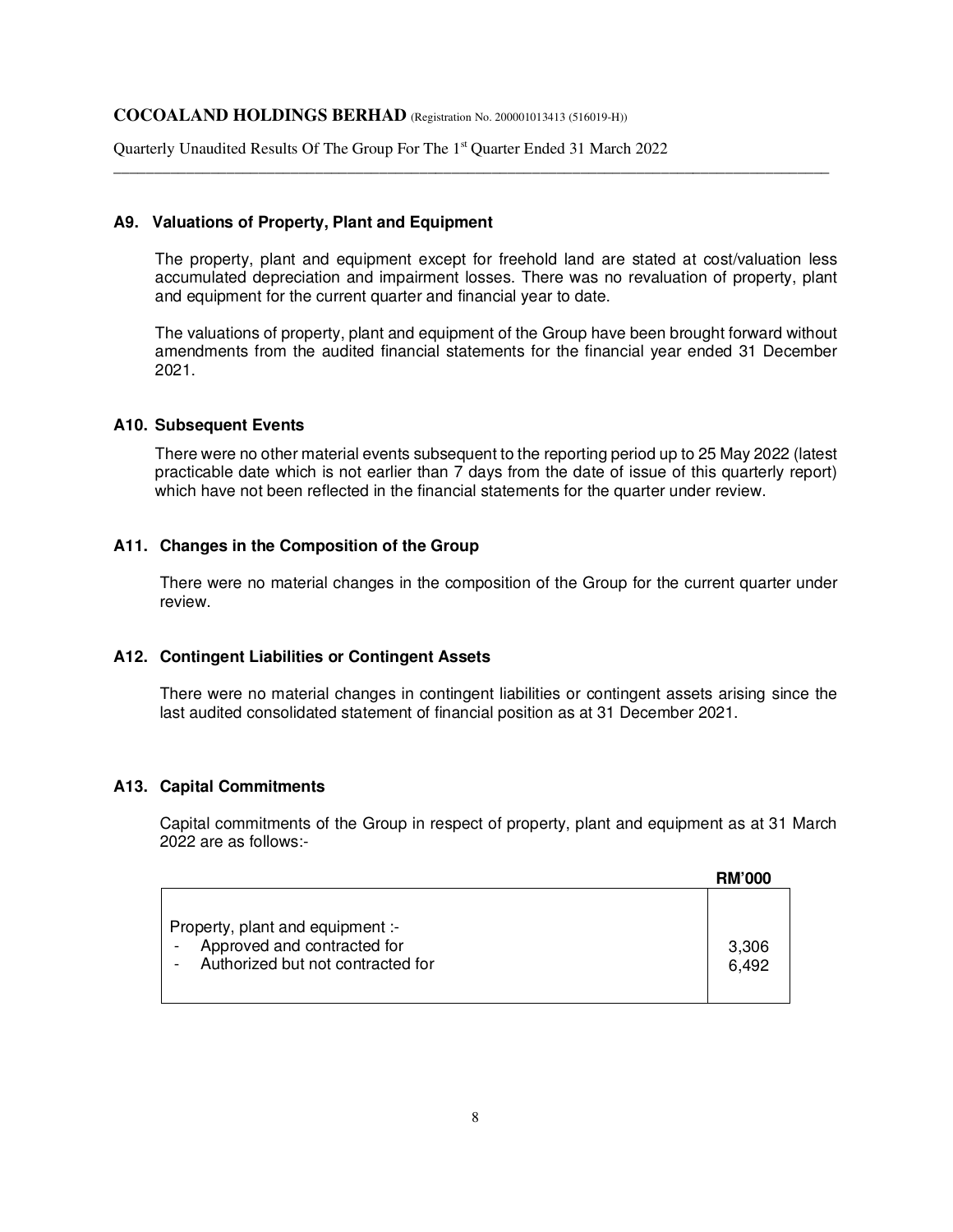Quarterly Unaudited Results Of The Group For The 1<sup>st</sup> Quarter Ended 31 March 2022

### **A9. Valuations of Property, Plant and Equipment**

The property, plant and equipment except for freehold land are stated at cost/valuation less accumulated depreciation and impairment losses. There was no revaluation of property, plant and equipment for the current quarter and financial year to date.

\_\_\_\_\_\_\_\_\_\_\_\_\_\_\_\_\_\_\_\_\_\_\_\_\_\_\_\_\_\_\_\_\_\_\_\_\_\_\_\_\_\_\_\_\_\_\_\_\_\_\_\_\_\_\_\_\_\_\_\_\_\_\_\_\_\_\_\_\_\_\_\_\_\_\_\_\_\_\_\_\_\_\_\_\_\_\_\_\_

The valuations of property, plant and equipment of the Group have been brought forward without amendments from the audited financial statements for the financial year ended 31 December 2021.

#### **A10. Subsequent Events**

There were no other material events subsequent to the reporting period up to 25 May 2022 (latest practicable date which is not earlier than 7 days from the date of issue of this quarterly report) which have not been reflected in the financial statements for the quarter under review.

### **A11. Changes in the Composition of the Group**

 There were no material changes in the composition of the Group for the current quarter under review.

### **A12. Contingent Liabilities or Contingent Assets**

 There were no material changes in contingent liabilities or contingent assets arising since the last audited consolidated statement of financial position as at 31 December 2021.

### **A13. Capital Commitments**

Capital commitments of the Group in respect of property, plant and equipment as at 31 March 2022 are as follows:-

|                                                                                                      | <b>RM'000</b>  |
|------------------------------------------------------------------------------------------------------|----------------|
| Property, plant and equipment :-<br>Approved and contracted for<br>Authorized but not contracted for | 3,306<br>6,492 |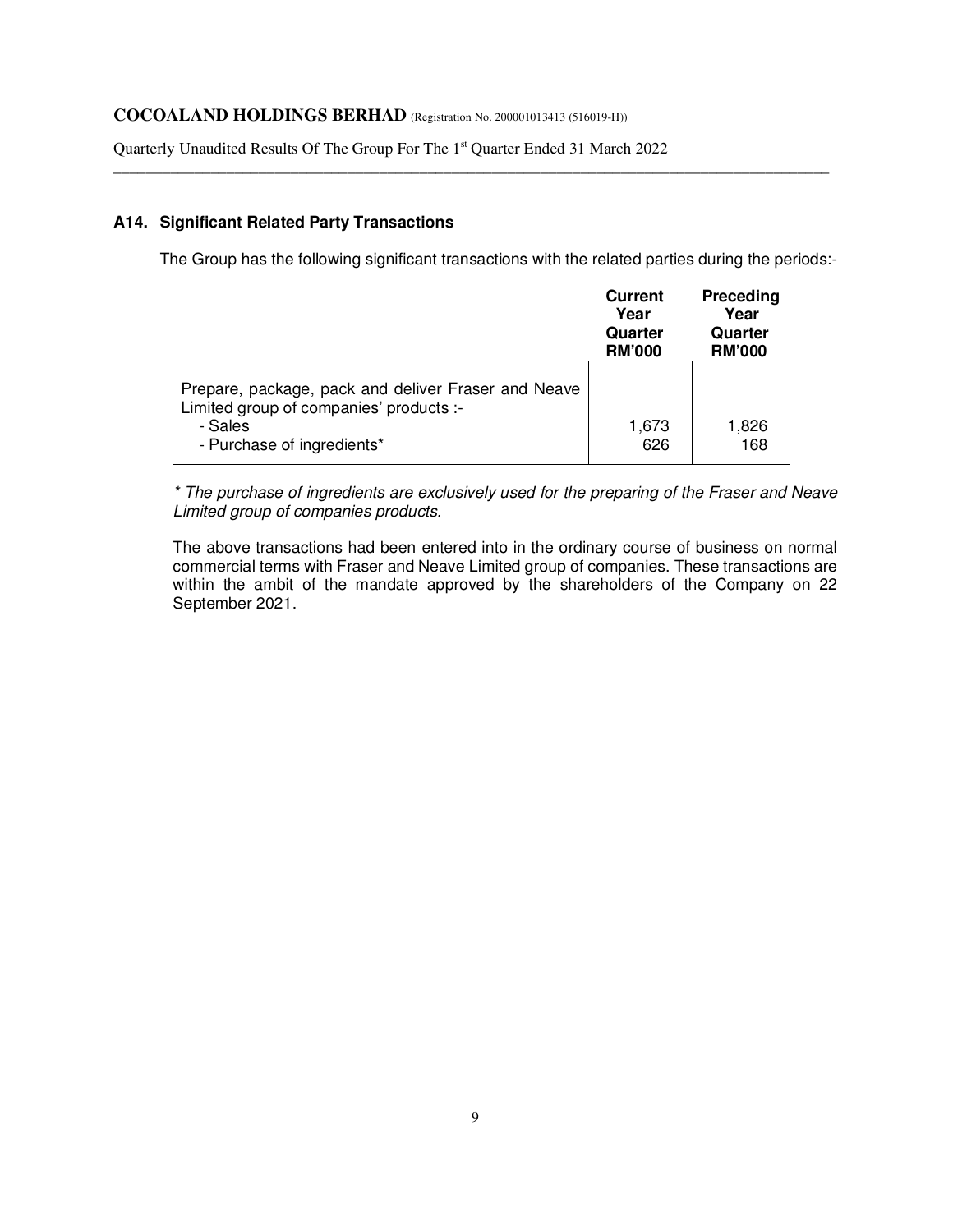Quarterly Unaudited Results Of The Group For The 1<sup>st</sup> Quarter Ended 31 March 2022

## **A14. Significant Related Party Transactions**

The Group has the following significant transactions with the related parties during the periods:-

\_\_\_\_\_\_\_\_\_\_\_\_\_\_\_\_\_\_\_\_\_\_\_\_\_\_\_\_\_\_\_\_\_\_\_\_\_\_\_\_\_\_\_\_\_\_\_\_\_\_\_\_\_\_\_\_\_\_\_\_\_\_\_\_\_\_\_\_\_\_\_\_\_\_\_\_\_\_\_\_\_\_\_\_\_\_\_\_\_

|                                                                                                                                         | <b>Current</b><br>Year<br>Quarter<br><b>RM'000</b> | Preceding<br>Year<br>Quarter<br><b>RM'000</b> |
|-----------------------------------------------------------------------------------------------------------------------------------------|----------------------------------------------------|-----------------------------------------------|
| Prepare, package, pack and deliver Fraser and Neave<br>Limited group of companies' products :-<br>- Sales<br>- Purchase of ingredients* | 1,673<br>626                                       | 1,826<br>168                                  |

\* The purchase of ingredients are exclusively used for the preparing of the Fraser and Neave Limited group of companies products.

The above transactions had been entered into in the ordinary course of business on normal commercial terms with Fraser and Neave Limited group of companies. These transactions are within the ambit of the mandate approved by the shareholders of the Company on 22 September 2021.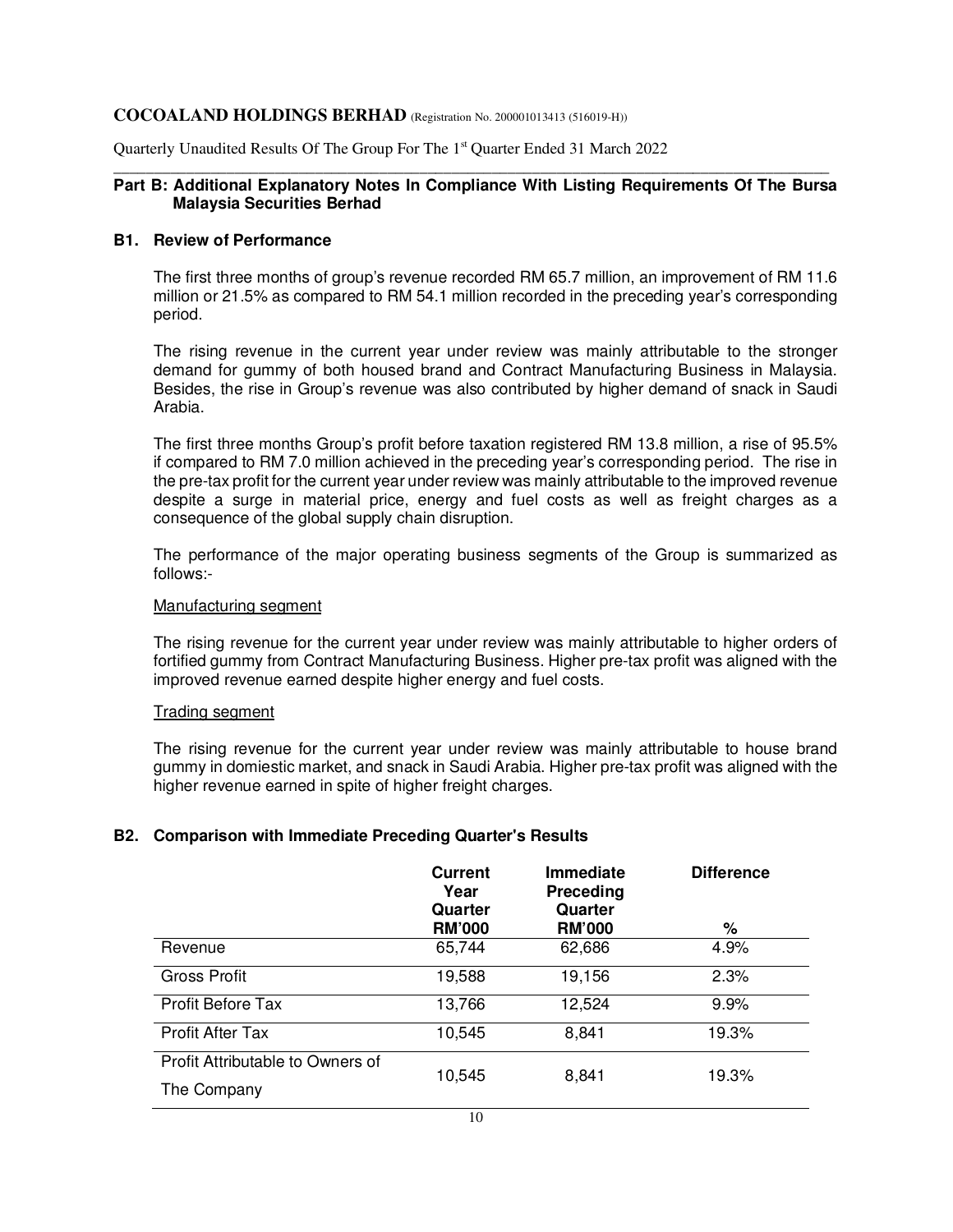Quarterly Unaudited Results Of The Group For The 1<sup>st</sup> Quarter Ended 31 March 2022

### \_\_\_\_\_\_\_\_\_\_\_\_\_\_\_\_\_\_\_\_\_\_\_\_\_\_\_\_\_\_\_\_\_\_\_\_\_\_\_\_\_\_\_\_\_\_\_\_\_\_\_\_\_\_\_\_\_\_\_\_\_\_\_\_\_\_\_\_\_\_\_\_\_\_\_\_\_\_\_\_\_\_\_\_\_\_\_\_\_ **Part B: Additional Explanatory Notes In Compliance With Listing Requirements Of The Bursa Malaysia Securities Berhad**

### **B1. Review of Performance**

The first three months of group's revenue recorded RM 65.7 million, an improvement of RM 11.6 million or 21.5% as compared to RM 54.1 million recorded in the preceding year's corresponding period.

The rising revenue in the current year under review was mainly attributable to the stronger demand for gummy of both housed brand and Contract Manufacturing Business in Malaysia. Besides, the rise in Group's revenue was also contributed by higher demand of snack in Saudi Arabia.

The first three months Group's profit before taxation registered RM 13.8 million, a rise of 95.5% if compared to RM 7.0 million achieved in the preceding year's corresponding period. The rise in the pre-tax profit for the current year under review was mainly attributable to the improved revenue despite a surge in material price, energy and fuel costs as well as freight charges as a consequence of the global supply chain disruption.

The performance of the major operating business segments of the Group is summarized as follows:-

### Manufacturing segment

The rising revenue for the current year under review was mainly attributable to higher orders of fortified gummy from Contract Manufacturing Business. Higher pre-tax profit was aligned with the improved revenue earned despite higher energy and fuel costs.

### Trading segment

The rising revenue for the current year under review was mainly attributable to house brand gummy in domiestic market, and snack in Saudi Arabia. Higher pre-tax profit was aligned with the higher revenue earned in spite of higher freight charges.

### **B2. Comparison with Immediate Preceding Quarter's Results**

|                                  | <b>Current</b><br>Year<br>Quarter<br><b>RM'000</b> | <b>Immediate</b><br>Preceding<br>Quarter<br><b>RM'000</b> | <b>Difference</b><br>% |
|----------------------------------|----------------------------------------------------|-----------------------------------------------------------|------------------------|
| Revenue                          | 65,744                                             | 62,686                                                    | 4.9%                   |
| <b>Gross Profit</b>              | 19,588                                             | 19,156                                                    | 2.3%                   |
| <b>Profit Before Tax</b>         | 13,766                                             | 12,524                                                    | 9.9%                   |
| <b>Profit After Tax</b>          | 10,545                                             | 8,841                                                     | 19.3%                  |
| Profit Attributable to Owners of | 10,545                                             | 8,841                                                     | 19.3%                  |
| The Company                      |                                                    |                                                           |                        |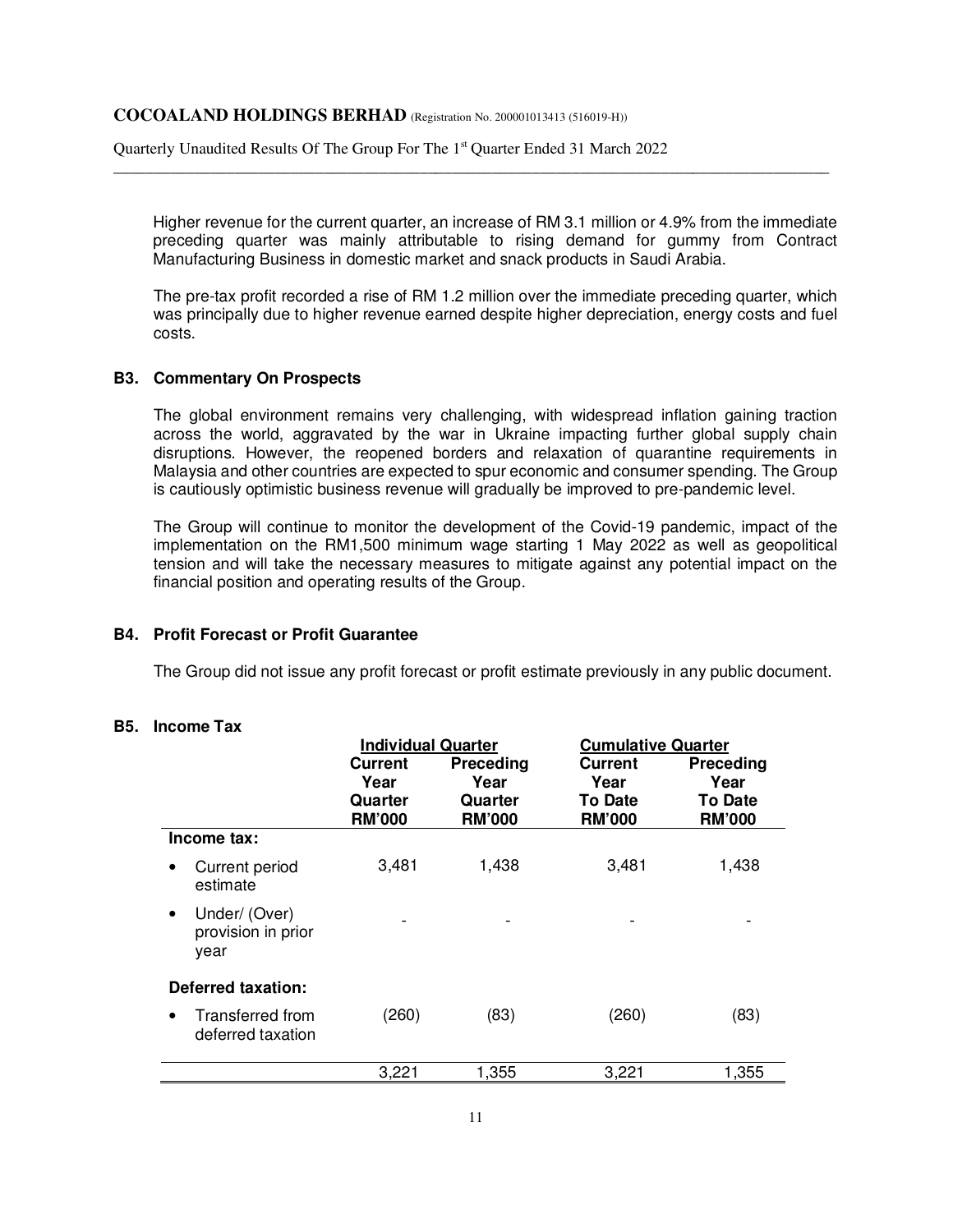Quarterly Unaudited Results Of The Group For The 1<sup>st</sup> Quarter Ended 31 March 2022

Higher revenue for the current quarter, an increase of RM 3.1 million or 4.9% from the immediate preceding quarter was mainly attributable to rising demand for gummy from Contract Manufacturing Business in domestic market and snack products in Saudi Arabia.

\_\_\_\_\_\_\_\_\_\_\_\_\_\_\_\_\_\_\_\_\_\_\_\_\_\_\_\_\_\_\_\_\_\_\_\_\_\_\_\_\_\_\_\_\_\_\_\_\_\_\_\_\_\_\_\_\_\_\_\_\_\_\_\_\_\_\_\_\_\_\_\_\_\_\_\_\_\_\_\_\_\_\_\_\_\_\_\_\_

The pre-tax profit recorded a rise of RM 1.2 million over the immediate preceding quarter, which was principally due to higher revenue earned despite higher depreciation, energy costs and fuel costs.

### **B3. Commentary On Prospects**

The global environment remains very challenging, with widespread inflation gaining traction across the world, aggravated by the war in Ukraine impacting further global supply chain disruptions. However, the reopened borders and relaxation of quarantine requirements in Malaysia and other countries are expected to spur economic and consumer spending. The Group is cautiously optimistic business revenue will gradually be improved to pre-pandemic level.

The Group will continue to monitor the development of the Covid-19 pandemic, impact of the implementation on the RM1,500 minimum wage starting 1 May 2022 as well as geopolitical tension and will take the necessary measures to mitigate against any potential impact on the financial position and operating results of the Group.

### **B4. Profit Forecast or Profit Guarantee**

The Group did not issue any profit forecast or profit estimate previously in any public document.

### **B5. Income Tax**

|                                                          | <b>Individual Quarter</b> |                          | <b>Cumulative Quarter</b>       |                                 |  |
|----------------------------------------------------------|---------------------------|--------------------------|---------------------------------|---------------------------------|--|
|                                                          | Current<br>Year           | Preceding<br>Year        | <b>Current</b><br>Year          | <b>Preceding</b><br>Year        |  |
|                                                          | Quarter<br><b>RM'000</b>  | Quarter<br><b>RM'000</b> | <b>To Date</b><br><b>RM'000</b> | <b>To Date</b><br><b>RM'000</b> |  |
| Income tax:                                              |                           |                          |                                 |                                 |  |
| Current period<br>$\bullet$<br>estimate                  | 3,481                     | 1,438                    | 3,481                           | 1,438                           |  |
| Under/ (Over)<br>$\bullet$<br>provision in prior<br>year |                           |                          |                                 |                                 |  |
| <b>Deferred taxation:</b>                                |                           |                          |                                 |                                 |  |
| Transferred from<br>$\bullet$<br>deferred taxation       | (260)                     | (83)                     | (260)                           | (83)                            |  |
|                                                          | 3,221                     | 1,355                    | 3,221                           | 1,355                           |  |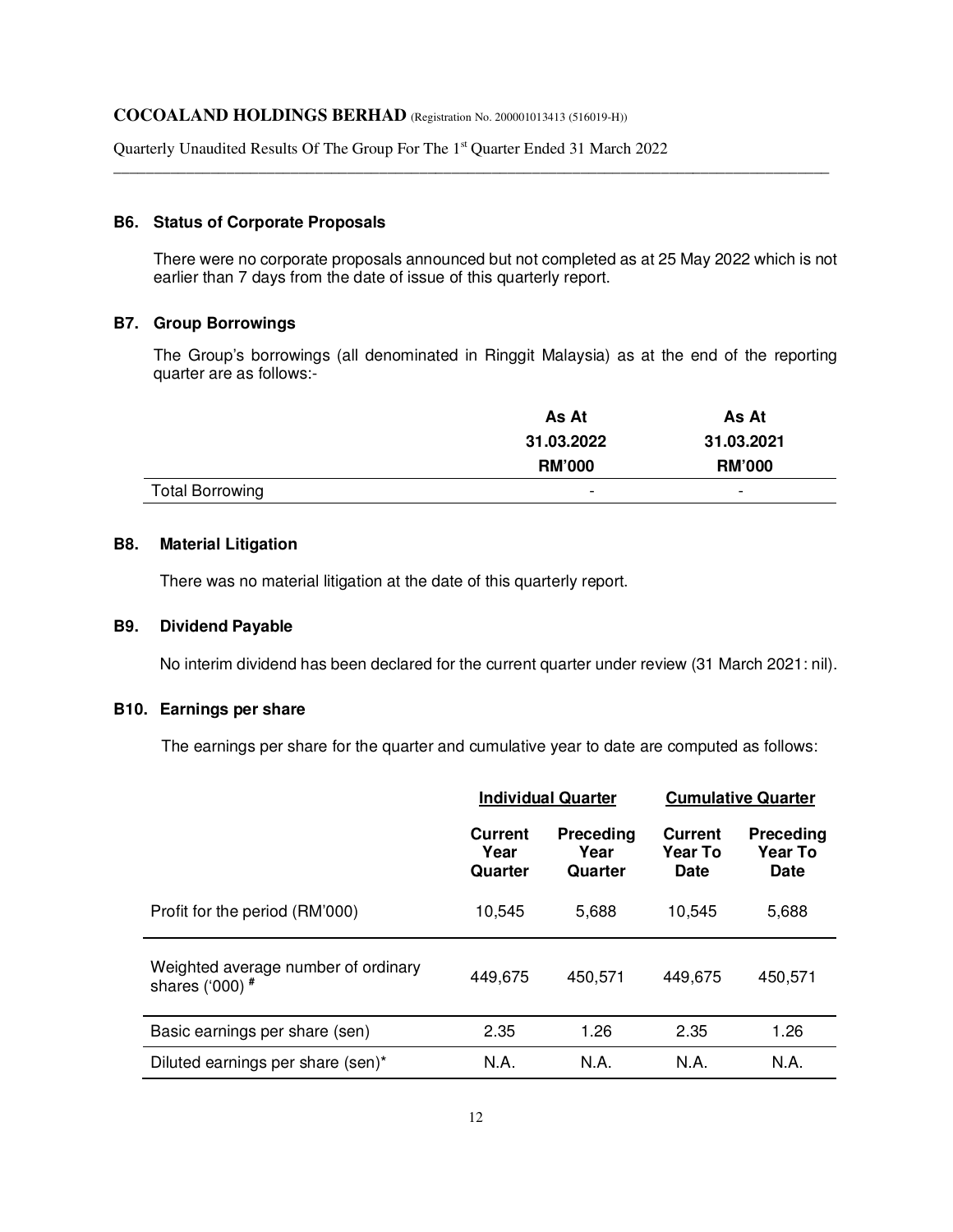Quarterly Unaudited Results Of The Group For The 1<sup>st</sup> Quarter Ended 31 March 2022

### **B6. Status of Corporate Proposals**

There were no corporate proposals announced but not completed as at 25 May 2022 which is not earlier than 7 days from the date of issue of this quarterly report.

\_\_\_\_\_\_\_\_\_\_\_\_\_\_\_\_\_\_\_\_\_\_\_\_\_\_\_\_\_\_\_\_\_\_\_\_\_\_\_\_\_\_\_\_\_\_\_\_\_\_\_\_\_\_\_\_\_\_\_\_\_\_\_\_\_\_\_\_\_\_\_\_\_\_\_\_\_\_\_\_\_\_\_\_\_\_\_\_\_

## **B7. Group Borrowings**

The Group's borrowings (all denominated in Ringgit Malaysia) as at the end of the reporting quarter are as follows:-

|                        | As At         | As At                    |
|------------------------|---------------|--------------------------|
|                        | 31.03.2022    | 31.03.2021               |
|                        | <b>RM'000</b> | <b>RM'000</b>            |
| <b>Total Borrowing</b> | -             | $\overline{\phantom{0}}$ |

## **B8. Material Litigation**

There was no material litigation at the date of this quarterly report.

### **B9. Dividend Payable**

No interim dividend has been declared for the current quarter under review (31 March 2021: nil).

## **B10. Earnings per share**

The earnings per share for the quarter and cumulative year to date are computed as follows:

|                                                          | <b>Individual Quarter</b>         |                              | <b>Cumulative Quarter</b>                |                                            |
|----------------------------------------------------------|-----------------------------------|------------------------------|------------------------------------------|--------------------------------------------|
|                                                          | <b>Current</b><br>Year<br>Quarter | Preceding<br>Year<br>Quarter | <b>Current</b><br><b>Year To</b><br>Date | <b>Preceding</b><br>Year To<br><b>Date</b> |
| Profit for the period (RM'000)                           | 10,545                            | 5.688                        | 10,545                                   | 5,688                                      |
| Weighted average number of ordinary<br>shares ('000) $#$ | 449,675                           | 450,571                      | 449,675                                  | 450,571                                    |
| Basic earnings per share (sen)                           | 2.35                              | 1.26                         | 2.35                                     | 1.26                                       |
| Diluted earnings per share (sen)*                        | N.A.                              | N.A.                         | N.A.                                     | N.A.                                       |